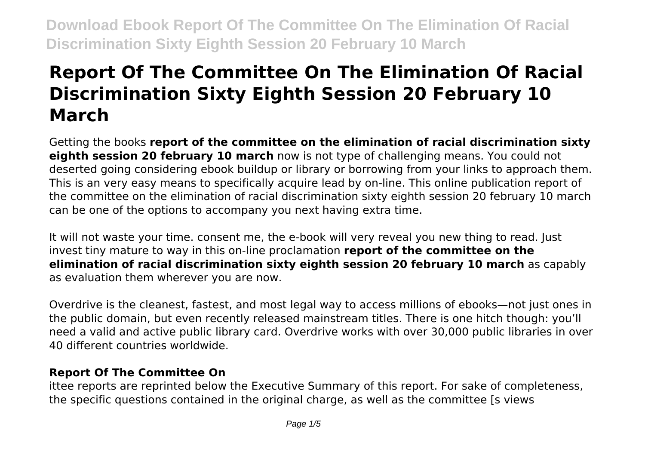# **Report Of The Committee On The Elimination Of Racial Discrimination Sixty Eighth Session 20 February 10 March**

Getting the books **report of the committee on the elimination of racial discrimination sixty eighth session 20 february 10 march** now is not type of challenging means. You could not deserted going considering ebook buildup or library or borrowing from your links to approach them. This is an very easy means to specifically acquire lead by on-line. This online publication report of the committee on the elimination of racial discrimination sixty eighth session 20 february 10 march can be one of the options to accompany you next having extra time.

It will not waste your time. consent me, the e-book will very reveal you new thing to read. Just invest tiny mature to way in this on-line proclamation **report of the committee on the elimination of racial discrimination sixty eighth session 20 february 10 march** as capably as evaluation them wherever you are now.

Overdrive is the cleanest, fastest, and most legal way to access millions of ebooks—not just ones in the public domain, but even recently released mainstream titles. There is one hitch though: you'll need a valid and active public library card. Overdrive works with over 30,000 public libraries in over 40 different countries worldwide.

## **Report Of The Committee On**

ittee reports are reprinted below the Executive Summary of this report. For sake of completeness, the specific questions contained in the original charge, as well as the committee [s views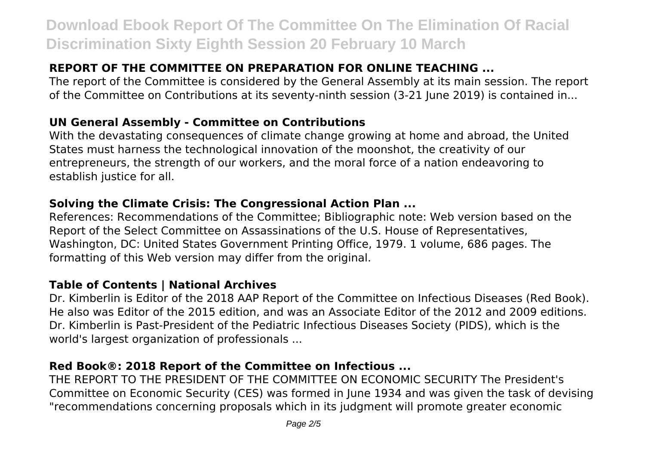## **REPORT OF THE COMMITTEE ON PREPARATION FOR ONLINE TEACHING ...**

The report of the Committee is considered by the General Assembly at its main session. The report of the Committee on Contributions at its seventy-ninth session (3-21 June 2019) is contained in...

### **UN General Assembly - Committee on Contributions**

With the devastating consequences of climate change growing at home and abroad, the United States must harness the technological innovation of the moonshot, the creativity of our entrepreneurs, the strength of our workers, and the moral force of a nation endeavoring to establish justice for all.

## **Solving the Climate Crisis: The Congressional Action Plan ...**

References: Recommendations of the Committee; Bibliographic note: Web version based on the Report of the Select Committee on Assassinations of the U.S. House of Representatives, Washington, DC: United States Government Printing Office, 1979. 1 volume, 686 pages. The formatting of this Web version may differ from the original.

### **Table of Contents | National Archives**

Dr. Kimberlin is Editor of the 2018 AAP Report of the Committee on Infectious Diseases (Red Book). He also was Editor of the 2015 edition, and was an Associate Editor of the 2012 and 2009 editions. Dr. Kimberlin is Past-President of the Pediatric Infectious Diseases Society (PIDS), which is the world's largest organization of professionals ...

### **Red Book®: 2018 Report of the Committee on Infectious ...**

THE REPORT TO THE PRESIDENT OF THE COMMITTEE ON ECONOMIC SECURITY The President's Committee on Economic Security (CES) was formed in June 1934 and was given the task of devising "recommendations concerning proposals which in its judgment will promote greater economic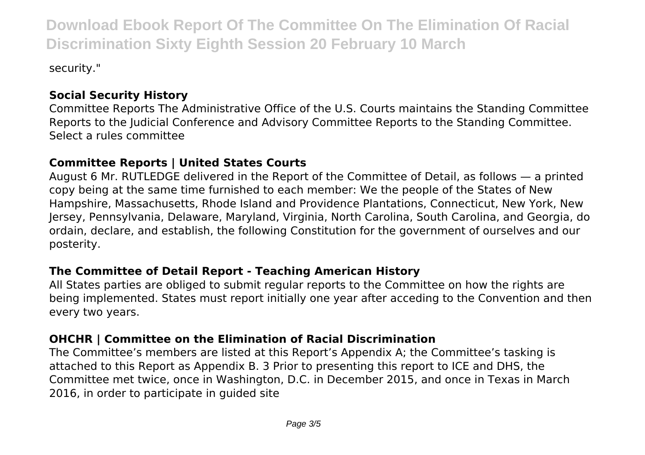security."

# **Social Security History**

Committee Reports The Administrative Office of the U.S. Courts maintains the Standing Committee Reports to the Judicial Conference and Advisory Committee Reports to the Standing Committee. Select a rules committee

# **Committee Reports | United States Courts**

August 6 Mr. RUTLEDGE delivered in the Report of the Committee of Detail, as follows — a printed copy being at the same time furnished to each member: We the people of the States of New Hampshire, Massachusetts, Rhode Island and Providence Plantations, Connecticut, New York, New Jersey, Pennsylvania, Delaware, Maryland, Virginia, North Carolina, South Carolina, and Georgia, do ordain, declare, and establish, the following Constitution for the government of ourselves and our posterity.

## **The Committee of Detail Report - Teaching American History**

All States parties are obliged to submit regular reports to the Committee on how the rights are being implemented. States must report initially one year after acceding to the Convention and then every two years.

## **OHCHR | Committee on the Elimination of Racial Discrimination**

The Committee's members are listed at this Report's Appendix A; the Committee's tasking is attached to this Report as Appendix B. 3 Prior to presenting this report to ICE and DHS, the Committee met twice, once in Washington, D.C. in December 2015, and once in Texas in March 2016, in order to participate in guided site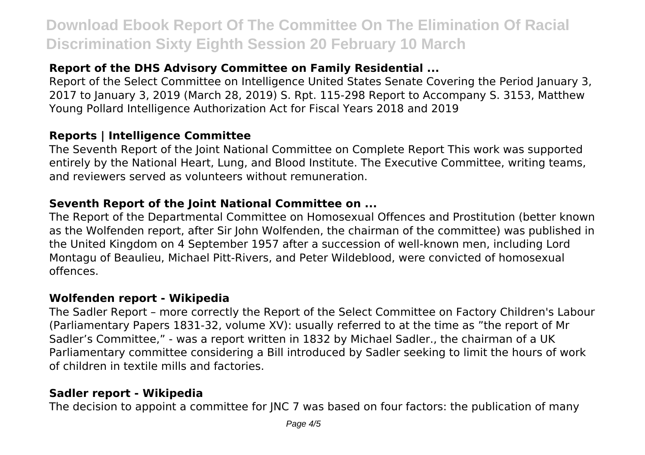# **Report of the DHS Advisory Committee on Family Residential ...**

Report of the Select Committee on Intelligence United States Senate Covering the Period January 3, 2017 to January 3, 2019 (March 28, 2019) S. Rpt. 115-298 Report to Accompany S. 3153, Matthew Young Pollard Intelligence Authorization Act for Fiscal Years 2018 and 2019

### **Reports | Intelligence Committee**

The Seventh Report of the Joint National Committee on Complete Report This work was supported entirely by the National Heart, Lung, and Blood Institute. The Executive Committee, writing teams, and reviewers served as volunteers without remuneration.

#### **Seventh Report of the Joint National Committee on ...**

The Report of the Departmental Committee on Homosexual Offences and Prostitution (better known as the Wolfenden report, after Sir John Wolfenden, the chairman of the committee) was published in the United Kingdom on 4 September 1957 after a succession of well-known men, including Lord Montagu of Beaulieu, Michael Pitt-Rivers, and Peter Wildeblood, were convicted of homosexual offences.

#### **Wolfenden report - Wikipedia**

The Sadler Report – more correctly the Report of the Select Committee on Factory Children's Labour (Parliamentary Papers 1831-32, volume XV): usually referred to at the time as "the report of Mr Sadler's Committee," - was a report written in 1832 by Michael Sadler., the chairman of a UK Parliamentary committee considering a Bill introduced by Sadler seeking to limit the hours of work of children in textile mills and factories.

### **Sadler report - Wikipedia**

The decision to appoint a committee for JNC 7 was based on four factors: the publication of many